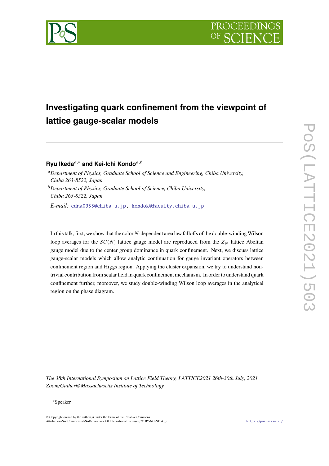

# **Investigating quark confinement from the viewpoint of lattice gauge-scalar models**

# **Ryu Ikeda***,*<sup>∗</sup> **and Kei-Ichi Kondo***,*

*Department of Physics, Graduate School of Science and Engineering, Chiba University, Chiba 263-8522, Japan*

*Department of Physics, Graduate School of Science, Chiba University, Chiba 263-8522, Japan*

*E-mail:* cdna0955@chiba-u.jp, kondok@faculty.chiba-u.jp

In this talk, first, we show that the color  $N$ -dependent area law falloffs of the double-winding Wilson loop averages for the  $SU(N)$  lattice gauge model are reproduced from the  $Z_N$  lattice Abelian gauge model due to the center group dominance in quark confinement. Next, we discuss lattice gauge-scalar models which allow analytic continuation for gauge invariant operators between confinement region and Higgs region. Applying the cluster expansion, we try to understand nontrivial contribution from scalar field in quark confinement mechanism. In order to understand quark confinement further, moreover, we study double-winding Wilson loop averages in the analytical region on the phase diagram.

*The 38th International Symposium on Lattice Field Theory, LATTICE2021 26th-30th July, 2021 Zoom/Gather@Massachusetts Institute of Technology*

### ∗Speaker

© Copyright owned by the author(s) under the terms of the Creative Commons Attribution-NonCommercial-NoDerivatives 4.0 International License (CC BY-NC-ND 4.0). https://pos.sissa.it/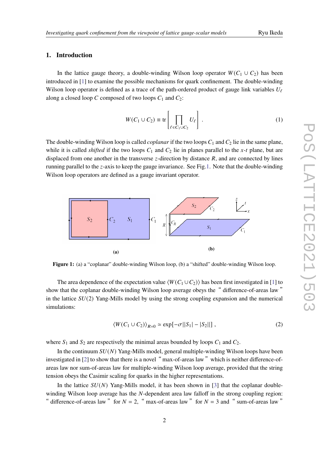# **1. Introduction**

In the lattice gauge theory, a double-winding Wilson loop operator  $W(C_1 \cup C_2)$  has been introduced in [1] to examine the possible mechanisms for quark confinement. The double-winding Wilson loop operator is defined as a trace of the path-ordered product of gauge link variables  $U_f$ along a closed loop  $C$  composed of two loops  $C_1$  and  $C_2$ :

$$
W(C_1 \cup C_2) \equiv \text{tr}\left[\prod_{\ell \in C_1 \cup C_2} U_{\ell}\right].
$$
 (1)

The double-winding Wilson loop is called *coplanar* if the two loops  $C_1$  and  $C_2$  lie in the same plane, while it is called *shifted* if the two loops  $C_1$  and  $C_2$  lie in planes parallel to the x-t plane, but are displaced from one another in the transverse  $z$ -direction by distance  $R$ , and are connected by lines running parallel to the  $z$ -axis to keep the gauge invariance. See Fig.1. Note that the double-winding Wilson loop operators are defined as a gauge invariant operator.



Figure 1: (a) a "coplanar" double-winding Wilson loop, (b) a "shifted" double-winding Wilson loop.

The area dependence of the expectation value  $\langle W(C_1 \cup C_2) \rangle$  has been first investigated in [1] to show that the coplanar double-winding Wilson loop average obeys the "difference-of-areas law" in the lattice  $SU(2)$  Yang-Mills model by using the strong coupling expansion and the numerical simulations:

$$
\langle W(C_1 \cup C_2) \rangle_{R=0} \simeq \exp[-\sigma ||S_1| - |S_2||], \qquad (2)
$$

where  $S_1$  and  $S_2$  are respectively the minimal areas bounded by loops  $C_1$  and  $C_2$ .

In the continuum  $SU(N)$  Yang-Mills model, general multiple-winding Wilson loops have been investigated in [2] to show that there is a novel "max-of-areas law" which is neither difference-ofareas law nor sum-of-areas law for multiple-winding Wilson loop average, provided that the string tension obeys the Casimir scaling for quarks in the higher representations.

In the lattice  $SU(N)$  Yang-Mills model, it has been shown in [3] that the coplanar doublewinding Wilson loop average has the  $N$ -dependent area law falloff in the strong coupling region: " difference-of-areas law " for  $N = 2$ , " max-of-areas law " for  $N = 3$  and " sum-of-areas law"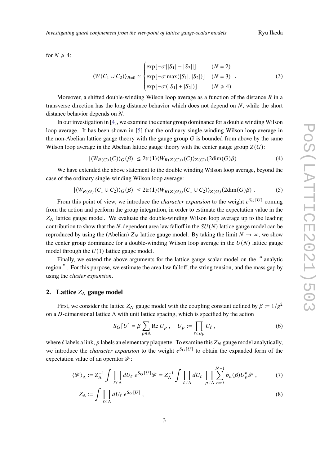for  $N \geq 4$ :

$$
\langle W(C_1 \cup C_2) \rangle_{R=0} \simeq \begin{cases} \exp[-\sigma ||S_1| - |S_2||] & (N = 2) \\ \exp[-\sigma \max(|S_1|, |S_2|)] & (N = 3) \\ \exp[-\sigma(|S_1| + |S_2|)] & (N \ge 4) \end{cases}
$$
 (3)

Moreover, a shifted double-winding Wilson loop average as a function of the distance  $\tilde{R}$  in a transverse direction has the long distance behavior which does not depend on  $N$ , while the short distance behavior depends on  $N$ .

In our investigation in [4], we examine the center group dominance for a double winding Wilson loop average. It has been shown in [5] that the ordinary single-winding Wilson loop average in the non-Abelian lattice gauge theory with the gauge group  $G$  is bounded from above by the same Wilson loop average in the Abelian lattice gauge theory with the center gauge group  $Z(G)$ :

$$
|\langle W_{R(G)}(C)\rangle_G(\beta)| \le 2\text{tr}(\mathbf{1})\langle W_{R(Z(G))}(C)\rangle_{Z(G)}(2\text{dim}(G)\beta) . \tag{4}
$$

We have extended the above statement to the double winding Wilson loop average, beyond the case of the ordinary single-winding Wilson loop average:

$$
|\langle W_{R(G)}(C_1 \cup C_2) \rangle_G(\beta)| \leq 2\text{tr}(\mathbf{1}) \langle W_{R(Z(G))}(C_1 \cup C_2) \rangle_{Z(G)}(2\text{dim}(G)\beta) . \tag{5}
$$

From this point of view, we introduce the *character expansion* to the weight  $e^{S_G[U]}$  coming from the action and perform the group integration, in order to estimate the expectation value in the  $Z_N$  lattice gauge model. We evaluate the double-winding Wilson loop average up to the leading contribution to show that the N-dependent area law falloff in the  $SU(N)$  lattice gauge model can be reproduced by using the (Abelian)  $Z_N$  lattice gauge model. By taking the limit  $N \to \infty$ , we show the center group dominance for a double-winding Wilson loop average in the  $U(N)$  lattice gauge model through the  $U(1)$  lattice gauge model.

Finally, we extend the above arguments for the lattice gauge-scalar model on the "analytic region ". For this purpose, we estimate the area law falloff, the string tension, and the mass gap by using the *cluster expansion*.

# **2.** Lattice  $Z_N$  gauge model

First, we consider the lattice  $Z_N$  gauge model with the coupling constant defined by  $\beta := 1/g^2$ on a D-dimensional lattice  $\Lambda$  with unit lattice spacing, which is specified by the action

$$
S_G[U] = \beta \sum_{p \in \Lambda} \text{Re } U_p , \quad U_p := \prod_{\ell \in \partial p} U_\ell , \tag{6}
$$

where  $\ell$  labels a link,  $p$  labels an elementary plaquette. To examine this  $Z_N$  gauge model analytically, we introduce the *character expansion* to the weight  $e^{S_G[U]}$  to obtain the expanded form of the expectation value of an operator ℱ:

$$
\langle \mathcal{F} \rangle_{\Lambda} := Z_{\Lambda}^{-1} \int \prod_{\ell \in \Lambda} dU_{\ell} \ e^{S_G[U]} \mathcal{F} = Z_{\Lambda}^{-1} \int \prod_{\ell \in \Lambda} dU_{\ell} \prod_{p \in \Lambda} \sum_{n=0}^{N-1} b_n(\beta) U_p^n \mathcal{F}, \tag{7}
$$

$$
Z_{\Lambda} := \int \prod_{\ell \in \Lambda} dU_{\ell} \ e^{S_G[U]} \ , \tag{8}
$$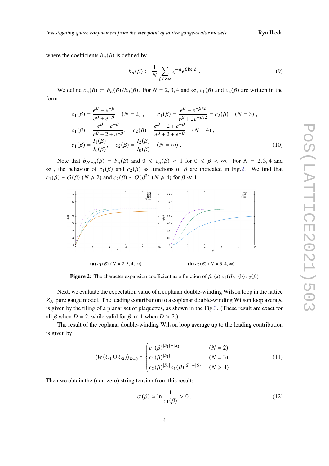where the coefficients  $b_n(\beta)$  is defined by

$$
b_n(\beta) := \frac{1}{N} \sum_{\zeta \in Z_N} \zeta^{-n} e^{\beta \operatorname{Re} \zeta} . \tag{9}
$$

We define  $c_n(\beta) := b_n(\beta)/b_0(\beta)$ . For  $N = 2, 3, 4$  and  $\infty$ ,  $c_1(\beta)$  and  $c_2(\beta)$  are written in the form

$$
c_1(\beta) = \frac{e^{\beta} - e^{-\beta}}{e^{\beta} + e^{-\beta}} \quad (N = 2), \qquad c_1(\beta) = \frac{e^{\beta} - e^{-\beta/2}}{e^{\beta} + 2e^{-\beta/2}} = c_2(\beta) \quad (N = 3),
$$
  
\n
$$
c_1(\beta) = \frac{e^{\beta} - e^{-\beta}}{e^{\beta} + 2 + e^{-\beta}}, \qquad c_2(\beta) = \frac{e^{\beta} - 2 + e^{-\beta}}{e^{\beta} + 2 + e^{-\beta}} \quad (N = 4),
$$
  
\n
$$
c_1(\beta) = \frac{I_1(\beta)}{I_0(\beta)}, \qquad c_2(\beta) = \frac{I_2(\beta)}{I_0(\beta)} \quad (N = \infty).
$$
 (10)

Note that  $b_{N-n}(\beta) = b_n(\beta)$  and  $0 \leq c_n(\beta) < 1$  for  $0 \leq \beta < \infty$ . For  $N = 2, 3, 4$  and  $\infty$ , the behavior of  $c_1(\beta)$  and  $c_2(\beta)$  as functions of  $\beta$  are indicated in Fig.2. We find that  $c_1(\beta) \sim O(\beta)$  ( $N \ge 2$ ) and  $c_2(\beta) \sim O(\beta^2)$  ( $N \ge 4$ ) for  $\beta \ll 1$ .



**Figure 2:** The character expansion coefficient as a function of  $\beta$ , (a)  $c_1(\beta)$ , (b)  $c_2(\beta)$ 

Next, we evaluate the expectation value of a coplanar double-winding Wilson loop in the lattice  $Z_N$  pure gauge model. The leading contribution to a coplanar double-winding Wilson loop average is given by the tiling of a planar set of plaquettes, as shown in the Fig.3. (These result are exact for all  $\beta$  when  $D = 2$ , while valid for  $\beta \ll 1$  when  $D > 2$ .)

The result of the coplanar double-winding Wilson loop average up to the leading contribution is given by

$$
\langle W(C_1 \cup C_2) \rangle_{R=0} \simeq \begin{cases} c_1(\beta)^{|S_1| - |S_2|} & (N = 2) \\ c_1(\beta)^{|S_1|} & (N = 3) \\ c_2(\beta)^{|S_2|} c_1(\beta)^{|S_1| - |S_2|} & (N \ge 4) \end{cases}
$$
(11)

Then we obtain the (non-zero) string tension from this result:

$$
\sigma(\beta) \simeq \ln \frac{1}{c_1(\beta)} > 0 \,. \tag{12}
$$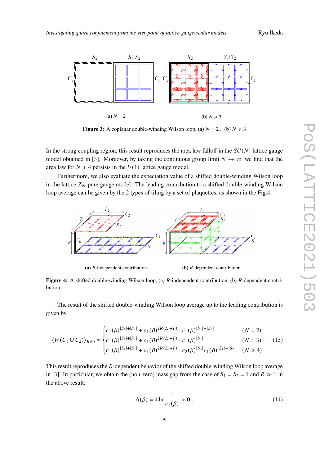

**Figure 3:** A coplanar double-winding Wilson loop, (a)  $N = 2$ , (b)  $N \ge 3$ 

In the strong coupling region, this result reproduces the area law falloff in the  $SU(N)$  lattice gauge model obtained in [3]. Moreover, by taking the continuous group limit  $N \to \infty$ , we find that the area law for  $N \geq 4$  persists in the  $U(1)$  lattice gauge model.

Furthermore, we also evaluate the expectation value of a shifted double-winding Wilson loop in the lattice  $Z_N$  pure gauge model. The leading contribution to a shifted double-winding Wilson loop average can be given by the 2 types of tiling by a set of plaquettes, as shown in the Fig.4.



**(a)**  $R$ -independent contribution **(b)**  $R$ -dependent contribution

**Figure 4:** A shifted double-winding Wilson loop, (a) R-independent contribution, (b) R-dependent contribution

The result of the shifted double-winding Wilson loop average up to the leading contribution is given by

$$
\langle W(C_1 \cup C_2) \rangle_{R \neq 0} \simeq \begin{cases} c_1(\beta)^{|S_1| + |S_2|} + c_1(\beta)^{2R(L_2 + T)} \cdot c_1(\beta)^{|S_1| - |S_2|} & (N = 2) \\ c_1(\beta)^{|S_1| + |S_2|} + c_1(\beta)^{2R(L_2 + T)} \cdot c_1(\beta)^{|S_1|} & (N = 3) \\ c_1(\beta)^{|S_1| + |S_2|} + c_1(\beta)^{2R(L_2 + T)} \cdot c_2(\beta)^{|S_2|} c_1(\beta)^{|S_1| - |S_2|} & (N \ge 4) \end{cases} (13)
$$

This result reproduces the  $R$ -dependent behavior of the shifted double-winding Wilson loop average in [3]. In particular, we obtain the (non-zero) mass gap from the case of  $S_1 = S_2 = 1$  and  $R \gg 1$  in the above result:

$$
\Delta(\beta) = 4 \ln \frac{1}{c_1(\beta)} > 0.
$$
 (14)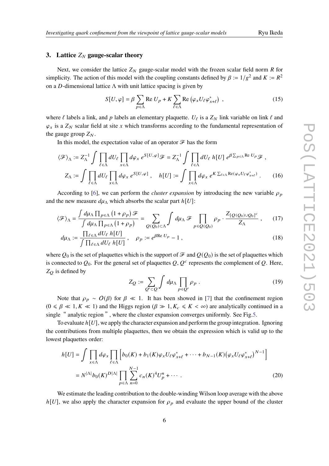## **3.** Lattice  $Z_N$  gauge-scalar theory

Next, we consider the lattice  $Z_N$  gauge-scalar model with the frozen scalar field norm R for simplicity. The action of this model with the coupling constants defined by  $\beta := 1/g^2$  and  $K := R^2$ on a D-dimensional lattice  $\Lambda$  with unit lattice spacing is given by

$$
S[U, \varphi] = \beta \sum_{p \in \Lambda} \text{Re } U_p + K \sum_{\ell \in \Lambda} \text{Re } (\varphi_x U_\ell \varphi_{x+\ell}^*) \tag{15}
$$

where  $\ell$  labels a link, and  $p$  labels an elementary plaquette.  $U_{\ell}$  is a  $Z_N$  link variable on link  $\ell$  and  $\varphi_x$  is a  $Z_N$  scalar field at site x which transforms according to the fundamental representation of the gauge group  $Z_N$ .

In this model, the expectation value of an operator  $\mathcal F$  has the form

$$
\langle \mathcal{F} \rangle_{\Lambda} := Z_{\Lambda}^{-1} \int \prod_{\ell \in \Lambda} dU_{\ell} \prod_{x \in \Lambda} d\varphi_{x} e^{S[U, \varphi]} \mathcal{F} = Z_{\Lambda}^{-1} \int \prod_{\ell \in \Lambda} dU_{\ell} h[U] e^{\beta \sum_{p \in \Lambda} \text{Re } U_{p}} \mathcal{F},
$$
  

$$
Z_{\Lambda} := \int \prod_{\ell \in \Lambda} dU_{\ell} \prod_{x \in \Lambda} d\varphi_{x} e^{S[U, \varphi]} , \quad h[U] := \int \prod_{x \in \Lambda} d\varphi_{x} e^{K \sum_{\ell \in \Lambda} \text{Re} (\varphi_{x} U_{\ell} \varphi_{x+\ell}^{*})} . \tag{16}
$$

According to [6], we can perform the *cluster expansion* by introducing the new variable  $\rho_p$ and the new measure  $d\mu_{\Lambda}$  which absorbs the scalar part  $h[U]$ :

$$
\langle \mathcal{F} \rangle_{\Lambda} = \frac{\int d\mu_{\Lambda} \prod_{p \in \Lambda} (1 + \rho_p) \mathcal{F}}{\int d\mu_{\Lambda} \prod_{p \in \Lambda} (1 + \rho_p)} = \sum_{Q(Q_0) \subset \Lambda} \int d\mu_{\Lambda} \mathcal{F} \prod_{p \in Q(Q_0)} \rho_p \cdot \frac{Z_{[Q(Q_0) \cup Q_0]^c}}{Z_{\Lambda}}, \quad (17)
$$

$$
d\mu_{\Lambda} := \frac{\prod_{\ell \in \Lambda} dU_{\ell} \ h[U]}{\int \prod_{\ell \in \Lambda} dU_{\ell} \ h[U]}, \quad \rho_p := e^{\beta \text{Re } U_p} - 1,
$$
\n(18)

where  $Q_0$  is the set of plaquettes which is the support of  $\mathcal F$  and  $Q(Q_0)$  is the set of plaquettes which is connected to  $Q_0$ . For the general set of plaquettes  $Q, Q^c$  represents the complement of  $Q$ . Here,  $Z_O$  is defined by

$$
Z_Q := \sum_{Q' \subset Q} \int d\mu_\Lambda \prod_{p \in Q'} \rho_p \,. \tag{19}
$$

Note that  $\rho_p \sim O(\beta)$  for  $\beta \ll 1$ . It has been showed in [7] that the confinement region  $(0 \le \beta \le 1, K \le 1)$  and the Higgs region  $(\beta \gg 1, K_c \le K < \infty)$  are analytically continued in a single " analytic region", where the cluster expansion converges uniformly. See Fig.5.

To evaluate *h*[U], we apply the character expansion and perform the group integration. Ignoring the contributions from multiple plaquettes, then we obtain the expression which is valid up to the lowest plaquettes order:

$$
h[U] = \int \prod_{x \in \Lambda} d\varphi_x \prod_{\ell \in \Lambda} \left[ b_0(K) + b_1(K) \varphi_x U_{\ell} \varphi_{x+\ell}^* + \dots + b_{N-1}(K) (\varphi_x U_{\ell} \varphi_{x+\ell}^*)^{N-1} \right]
$$
  
=  $N^{|\Lambda|} b_0(K)^{D|\Lambda|} \prod_{p \in \Lambda} \sum_{n=0}^{N-1} c_n(K)^4 U_p^n + \dots$  (20)

We estimate the leading contribution to the double-winding Wilson loop average with the above  $h[U]$ , we also apply the character expansion for  $\rho_p$  and evaluate the upper bound of the cluster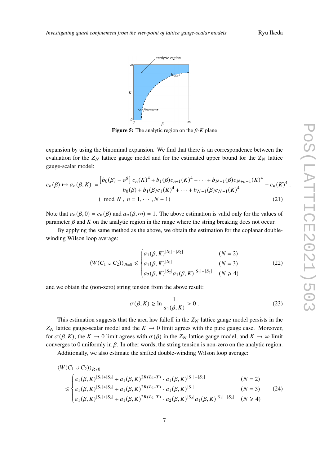*.*



**Figure 5:** The analytic region on the  $\beta$ -K plane

expansion by using the binominal expansion. We find that there is an correspondence between the evaluation for the  $Z_N$  lattice gauge model and for the estimated upper bound for the  $Z_N$  lattice gauge-scalar model:

$$
c_n(\beta) \mapsto a_n(\beta, K) := \frac{\left[b_0(\beta) - e^{\beta}\right]c_n(K)^4 + b_1(\beta)c_{n+1}(K)^4 + \dots + b_{N-1}(\beta)c_{N+n-1}(K)^4}{b_0(\beta) + b_1(\beta)c_1(K)^4 + \dots + b_{N-1}(\beta)c_{N-1}(K)^4} + c_n(K)^4
$$
\n
$$
\text{(mod } N \text{ , } n = 1, \dots, N-1) \tag{21}
$$

Note that  $a_n(\beta, 0) = c_n(\beta)$  and  $a_n(\beta, \infty) = 1$ . The above estimation is valid only for the values of parameter  $\beta$  and K on the analytic region in the range where the string breaking does not occur.

By applying the same method as the above, we obtain the estimation for the coplanar doublewinding Wilson loop average:

$$
\langle W(C_1 \cup C_2) \rangle_{R=0} \leq \begin{cases} a_1(\beta, K)^{|S_1| - |S_2|} & (N = 2) \\ a_1(\beta, K)^{|S_1|} & (N = 3) \\ a_2(\beta, K)^{|S_2|} a_1(\beta, K)^{|S_1| - |S_2|} & (N \geq 4) \end{cases}
$$
(22)

and we obtain the (non-zero) string tension from the above result:

$$
\sigma(\beta, K) \gtrsim \ln \frac{1}{a_1(\beta, K)} > 0.
$$
\n(23)

This estimation suggests that the area law falloff in the  $Z_N$  lattice gauge model persists in the  $Z_N$  lattice gauge-scalar model and the  $K \rightarrow 0$  limit agrees with the pure gauge case. Moreover, for  $\sigma(\beta, K)$ , the  $K \to 0$  limit agrees with  $\sigma(\beta)$  in the  $Z_N$  lattice gauge model, and  $K \to \infty$  limit converges to 0 uniformly in  $\beta$ . In other words, the string tension is non-zero on the analytic region.

Additionally, we also estimate the shifted double-winding Wilson loop average:

$$
\langle W(C_1 \cup C_2) \rangle_{R \neq 0}
$$
\n
$$
\lesssim \begin{cases}\na_1(\beta, K)^{|S_1| + |S_2|} + a_1(\beta, K)^{2R(L_2 + T)} \cdot a_1(\beta, K)^{|S_1| - |S_2|} & (N = 2) \\
a_1(\beta, K)^{|S_1| + |S_2|} + a_1(\beta, K)^{2R(L_2 + T)} \cdot a_1(\beta, K)^{|S_1|} & (N = 3) \\
a_1(\beta, K)^{|S_1| + |S_2|} + a_1(\beta, K)^{2R(L_2 + T)} \cdot a_2(\beta, K)^{|S_2|} a_1(\beta, K)^{|S_1| - |S_2|} & (N \ge 4)\n\end{cases}
$$
\n(24)